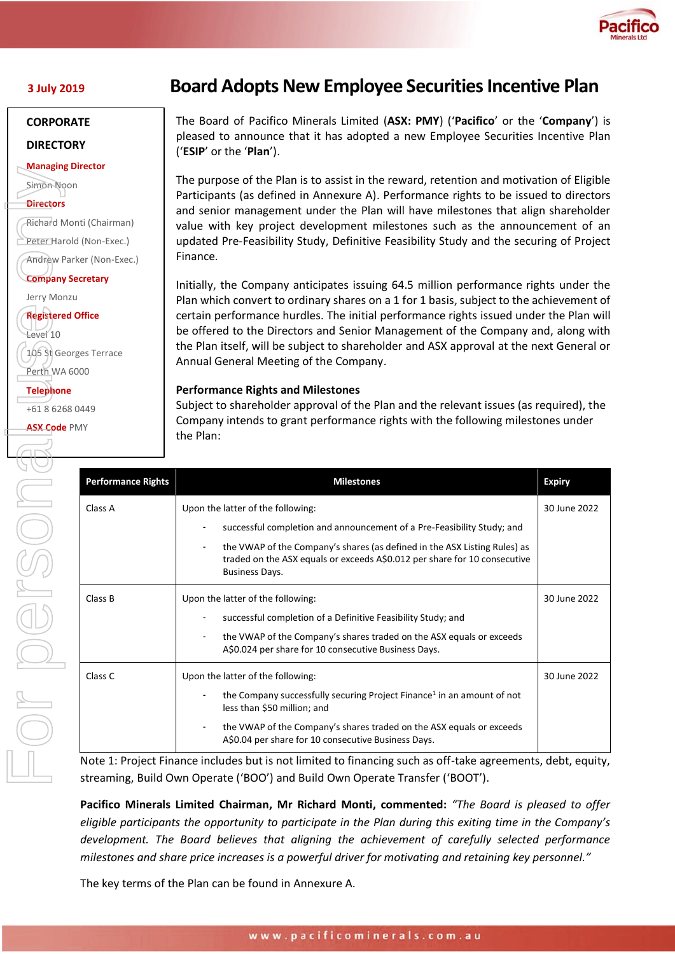

### **CORPORATE**

## **DIRECTORY**

### **Managing Director**

Simon Noon

# **Directors**

Richard Monti (Chairman)

Peter Harold (Non-Exec.)

Andrew Parker (Non-Exec.)

### **Company Secretary**

Jerry Monzu

**Registered Office**

Level 10 105 St Georges Terrace Perth WA 6000

**Telephone**

+61 8 6268 0449

**ASX Code PMY** 

**Example Directors**<br> **ASK Company Secrets**<br> **ASK Company Secrets**<br>
Level 10<br>
(105 St Georges<br>
Perth WA 6000<br>
<u>Telephone</u><br>
+61 8 6268 044<br>
ASX Code PMY<br>
(105 St Georges<br>
ASX Code PMY<br>
(106 St Georges<br>
ASX Code PMY NOR DOR 10

# **<sup>3</sup> July <sup>2019</sup>Board Adopts New Employee Securities Incentive Plan**

The Board of Pacifico Minerals Limited (**ASX: PMY**) ('**Pacifico**' or the '**Company**') is pleased to announce that it has adopted a new Employee Securities Incentive Plan ('**ESIP**' or the '**Plan**').

The purpose of the Plan is to assist in the reward, retention and motivation of Eligible Participants (as defined in Annexure A). Performance rights to be issued to directors and senior management under the Plan will have milestones that align shareholder value with key project development milestones such as the announcement of an updated Pre-Feasibility Study, Definitive Feasibility Study and the securing of Project Finance.

Initially, the Company anticipates issuing 64.5 million performance rights under the Plan which convert to ordinary shares on a 1 for 1 basis, subject to the achievement of certain performance hurdles. The initial performance rights issued under the Plan will be offered to the Directors and Senior Management of the Company and, along with the Plan itself, will be subject to shareholder and ASX approval at the next General or Annual General Meeting of the Company.

# **Performance Rights and Milestones**

Subject to shareholder approval of the Plan and the relevant issues (as required), the Company intends to grant performance rights with the following milestones under the Plan:

| <b>Performance Rights</b> | <b>Milestones</b>                                                                                                                                                                                 | <b>Expiry</b> |
|---------------------------|---------------------------------------------------------------------------------------------------------------------------------------------------------------------------------------------------|---------------|
| Class A                   | Upon the latter of the following:                                                                                                                                                                 | 30 June 2022  |
|                           | successful completion and announcement of a Pre-Feasibility Study; and                                                                                                                            |               |
|                           | the VWAP of the Company's shares (as defined in the ASX Listing Rules) as<br>$\blacksquare$<br>traded on the ASX equals or exceeds A\$0.012 per share for 10 consecutive<br><b>Business Days.</b> |               |
| Class B                   | Upon the latter of the following:                                                                                                                                                                 | 30 June 2022  |
|                           | successful completion of a Definitive Feasibility Study; and                                                                                                                                      |               |
|                           | the VWAP of the Company's shares traded on the ASX equals or exceeds<br>$\overline{\phantom{a}}$<br>A\$0.024 per share for 10 consecutive Business Days.                                          |               |
| Class C                   | Upon the latter of the following:                                                                                                                                                                 | 30 June 2022  |
|                           | the Company successfully securing Project Finance <sup>1</sup> in an amount of not<br>less than \$50 million; and                                                                                 |               |
|                           | the VWAP of the Company's shares traded on the ASX equals or exceeds<br>$\blacksquare$<br>A\$0.04 per share for 10 consecutive Business Days.                                                     |               |

Note 1: Project Finance includes but is not limited to financing such as off-take agreements, debt, equity, streaming, Build Own Operate ('BOO') and Build Own Operate Transfer ('BOOT').

**Pacifico Minerals Limited Chairman, Mr Richard Monti, commented:** *"The Board is pleased to offer eligible participants the opportunity to participate in the Plan during this exiting time in the Company's development. The Board believes that aligning the achievement of carefully selected performance milestones and share price increases is a powerful driver for motivating and retaining key personnel."* 

The key terms of the Plan can be found in Annexure A.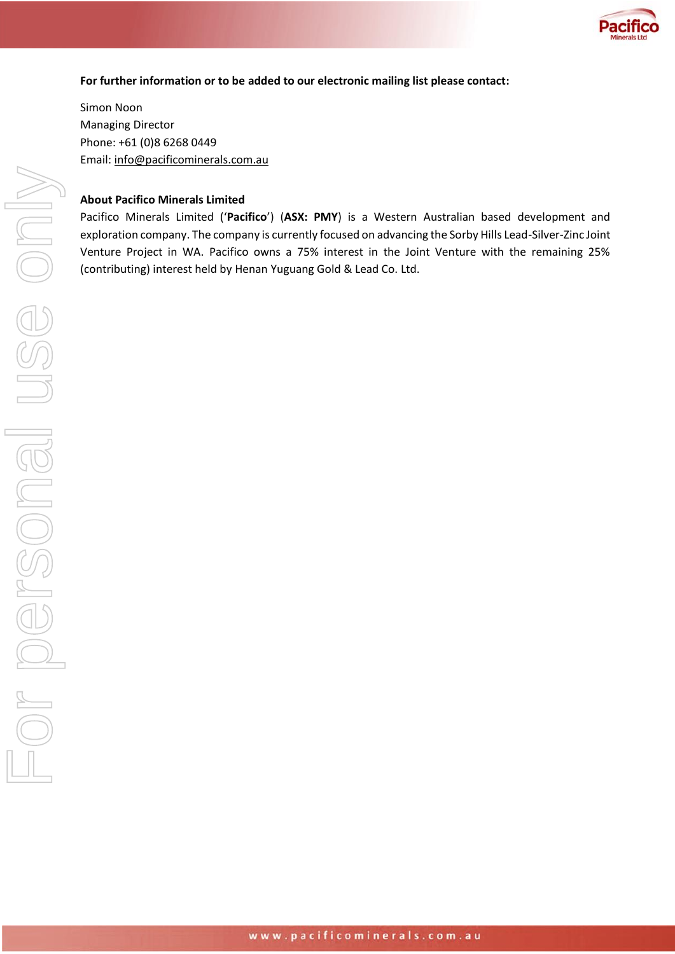

# **For further information or to be added to our electronic mailing list please contact:**

Simon Noon Managing Director Phone: +61 (0)8 6268 0449 Email: [info@pacificominerals.com.au](mailto:info@pacificominerals.com.au)

### **About Pacifico Minerals Limited**

Pacifico Minerals Limited ('**Pacifico**') (**ASX: PMY**) is a Western Australian based development and exploration company. The company is currently focused on advancing the Sorby Hills Lead-Silver-Zinc Joint Venture Project in WA. Pacifico owns a 75% interest in the Joint Venture with the remaining 25% (contributing) interest held by Henan Yuguang Gold & Lead Co. Ltd.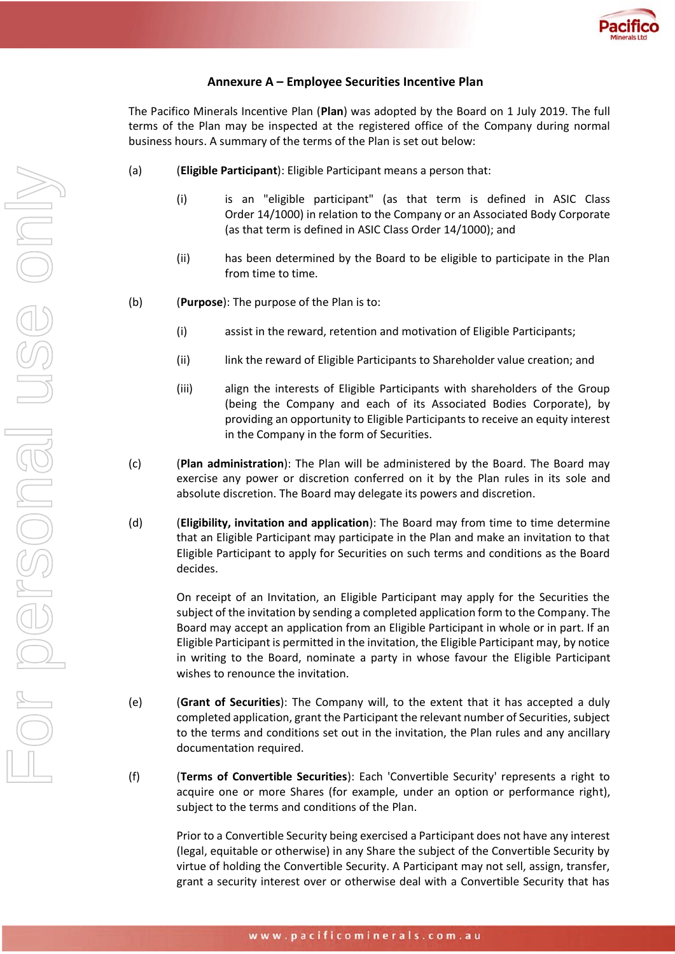

# **Annexure A – Employee Securities Incentive Plan**

The Pacifico Minerals Incentive Plan (**Plan**) was adopted by the Board on 1 July 2019. The full terms of the Plan may be inspected at the registered office of the Company during normal business hours. A summary of the terms of the Plan is set out below:

- (a) (**Eligible Participant**): Eligible Participant means a person that:
	- (i) is an "eligible participant" (as that term is defined in ASIC Class Order 14/1000) in relation to the Company or an Associated Body Corporate (as that term is defined in ASIC Class Order 14/1000); and
	- (ii) has been determined by the Board to be eligible to participate in the Plan from time to time.
- (b) (**Purpose**): The purpose of the Plan is to:
	- (i) assist in the reward, retention and motivation of Eligible Participants;
	- (ii) link the reward of Eligible Participants to Shareholder value creation; and
	- (iii) align the interests of Eligible Participants with shareholders of the Group (being the Company and each of its Associated Bodies Corporate), by providing an opportunity to Eligible Participants to receive an equity interest in the Company in the form of Securities.
- (c) (**Plan administration**): The Plan will be administered by the Board. The Board may exercise any power or discretion conferred on it by the Plan rules in its sole and absolute discretion. The Board may delegate its powers and discretion.
- (d) (**Eligibility, invitation and application**): The Board may from time to time determine that an Eligible Participant may participate in the Plan and make an invitation to that Eligible Participant to apply for Securities on such terms and conditions as the Board decides.

On receipt of an Invitation, an Eligible Participant may apply for the Securities the subject of the invitation by sending a completed application form to the Company. The Board may accept an application from an Eligible Participant in whole or in part. If an Eligible Participant is permitted in the invitation, the Eligible Participant may, by notice in writing to the Board, nominate a party in whose favour the Eligible Participant wishes to renounce the invitation.

- (e) (**Grant of Securities**): The Company will, to the extent that it has accepted a duly completed application, grant the Participant the relevant number of Securities, subject to the terms and conditions set out in the invitation, the Plan rules and any ancillary documentation required.
- (f) (**Terms of Convertible Securities**): Each 'Convertible Security' represents a right to acquire one or more Shares (for example, under an option or performance right), subject to the terms and conditions of the Plan.

Prior to a Convertible Security being exercised a Participant does not have any interest (legal, equitable or otherwise) in any Share the subject of the Convertible Security by virtue of holding the Convertible Security. A Participant may not sell, assign, transfer, grant a security interest over or otherwise deal with a Convertible Security that has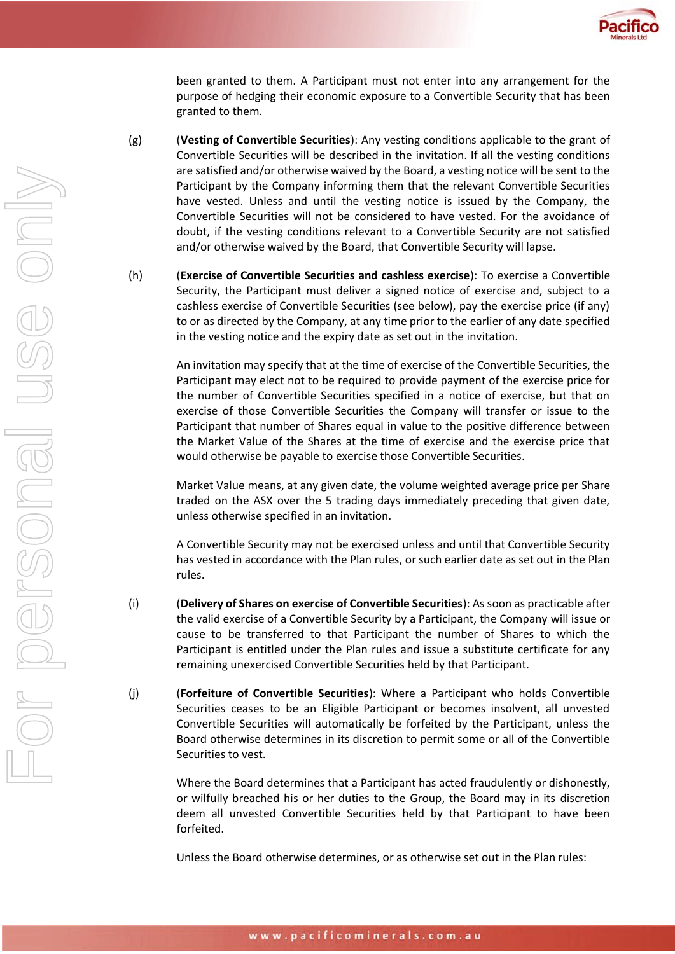

been granted to them. A Participant must not enter into any arrangement for the purpose of hedging their economic exposure to a Convertible Security that has been granted to them.

- (g) (**Vesting of Convertible Securities**): Any vesting conditions applicable to the grant of Convertible Securities will be described in the invitation. If all the vesting conditions are satisfied and/or otherwise waived by the Board, a vesting notice will be sent to the Participant by the Company informing them that the relevant Convertible Securities have vested. Unless and until the vesting notice is issued by the Company, the Convertible Securities will not be considered to have vested. For the avoidance of doubt, if the vesting conditions relevant to a Convertible Security are not satisfied and/or otherwise waived by the Board, that Convertible Security will lapse.
- (h) (**Exercise of Convertible Securities and cashless exercise**): To exercise a Convertible Security, the Participant must deliver a signed notice of exercise and, subject to a cashless exercise of Convertible Securities (see below), pay the exercise price (if any) to or as directed by the Company, at any time prior to the earlier of any date specified in the vesting notice and the expiry date as set out in the invitation.

An invitation may specify that at the time of exercise of the Convertible Securities, the Participant may elect not to be required to provide payment of the exercise price for the number of Convertible Securities specified in a notice of exercise, but that on exercise of those Convertible Securities the Company will transfer or issue to the Participant that number of Shares equal in value to the positive difference between the Market Value of the Shares at the time of exercise and the exercise price that would otherwise be payable to exercise those Convertible Securities.

Market Value means, at any given date, the volume weighted average price per Share traded on the ASX over the 5 trading days immediately preceding that given date, unless otherwise specified in an invitation.

A Convertible Security may not be exercised unless and until that Convertible Security has vested in accordance with the Plan rules, or such earlier date as set out in the Plan rules.

- (i) (**Delivery of Shares on exercise of Convertible Securities**): As soon as practicable after the valid exercise of a Convertible Security by a Participant, the Company will issue or cause to be transferred to that Participant the number of Shares to which the Participant is entitled under the Plan rules and issue a substitute certificate for any remaining unexercised Convertible Securities held by that Participant.
- (j) (**Forfeiture of Convertible Securities**): Where a Participant who holds Convertible Securities ceases to be an Eligible Participant or becomes insolvent, all unvested Convertible Securities will automatically be forfeited by the Participant, unless the Board otherwise determines in its discretion to permit some or all of the Convertible Securities to vest.

Where the Board determines that a Participant has acted fraudulently or dishonestly, or wilfully breached his or her duties to the Group, the Board may in its discretion deem all unvested Convertible Securities held by that Participant to have been forfeited.

Unless the Board otherwise determines, or as otherwise set out in the Plan rules: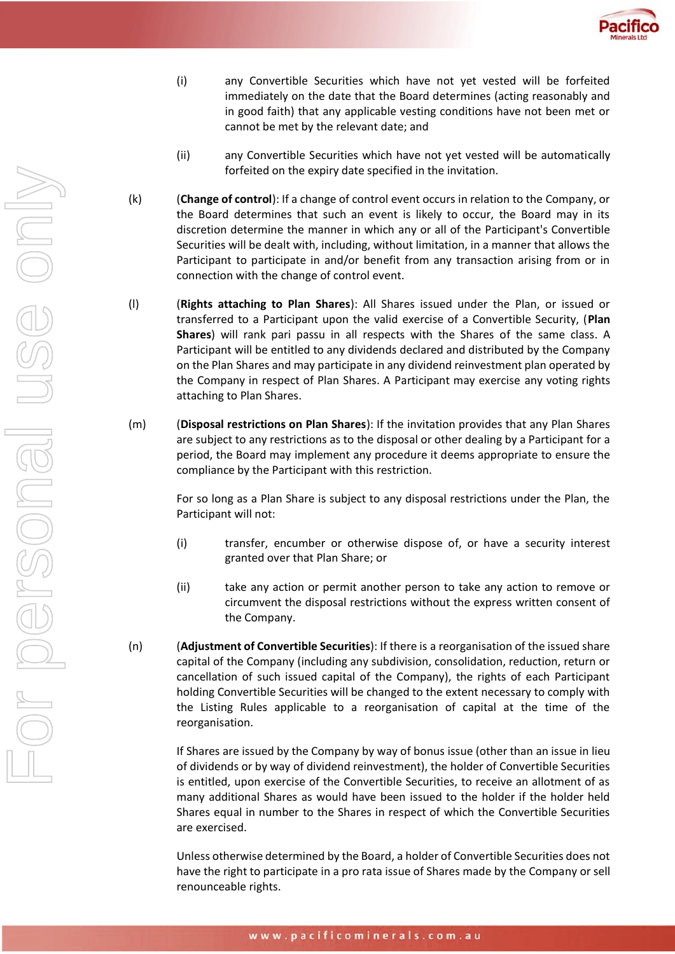

- (i) any Convertible Securities which have not yet vested will be forfeited immediately on the date that the Board determines (acting reasonably and in good faith) that any applicable vesting conditions have not been met or cannot be met by the relevant date; and
- (ii) any Convertible Securities which have not yet vested will be automatically forfeited on the expiry date specified in the invitation.
- (k) (**Change of control**): If a change of control event occurs in relation to the Company, or the Board determines that such an event is likely to occur, the Board may in its discretion determine the manner in which any or all of the Participant's Convertible Securities will be dealt with, including, without limitation, in a manner that allows the Participant to participate in and/or benefit from any transaction arising from or in connection with the change of control event.
- (l) (**Rights attaching to Plan Shares**): All Shares issued under the Plan, or issued or transferred to a Participant upon the valid exercise of a Convertible Security, (**Plan Shares**) will rank pari passu in all respects with the Shares of the same class. A Participant will be entitled to any dividends declared and distributed by the Company on the Plan Shares and may participate in any dividend reinvestment plan operated by the Company in respect of Plan Shares. A Participant may exercise any voting rights attaching to Plan Shares.
- (m) (**Disposal restrictions on Plan Shares**): If the invitation provides that any Plan Shares are subject to any restrictions as to the disposal or other dealing by a Participant for a period, the Board may implement any procedure it deems appropriate to ensure the compliance by the Participant with this restriction.

For so long as a Plan Share is subject to any disposal restrictions under the Plan, the Participant will not:

- (i) transfer, encumber or otherwise dispose of, or have a security interest granted over that Plan Share; or
- (ii) take any action or permit another person to take any action to remove or circumvent the disposal restrictions without the express written consent of the Company.
- (n) (**Adjustment of Convertible Securities**): If there is a reorganisation of the issued share capital of the Company (including any subdivision, consolidation, reduction, return or cancellation of such issued capital of the Company), the rights of each Participant holding Convertible Securities will be changed to the extent necessary to comply with the Listing Rules applicable to a reorganisation of capital at the time of the reorganisation.

If Shares are issued by the Company by way of bonus issue (other than an issue in lieu of dividends or by way of dividend reinvestment), the holder of Convertible Securities is entitled, upon exercise of the Convertible Securities, to receive an allotment of as many additional Shares as would have been issued to the holder if the holder held Shares equal in number to the Shares in respect of which the Convertible Securities are exercised.

Unless otherwise determined by the Board, a holder of Convertible Securities does not have the right to participate in a pro rata issue of Shares made by the Company or sell renounceable rights.